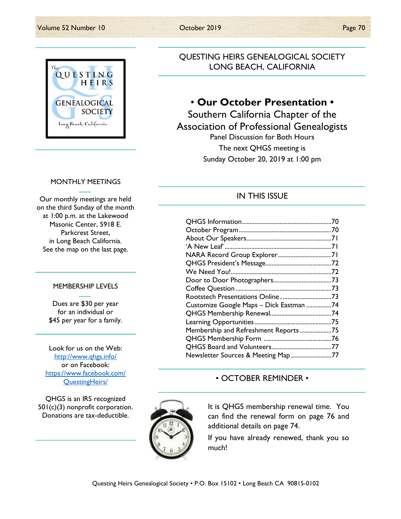

## MONTHLY MEETINGS

Our monthly meetings are held on the third Sunday of the month at 1:00 p.m. at the Lakewood Masonic Center, 5918 E. Parkcrest Street, in Long Beach California. See the map on the last page.

## MEMBERSHIP LEVELS

Dues are \$30 per year for an individual or \$45 per year for a family.

Look for us on the Web: http://www.qhgs.info/ or on Facebook: https://www.facebook.com/ QuestingHeirs/

QHGS is an IRS recognized 501(c)(3) nonprofit corporation. Donations are tax-deductible.

QUESTING HEIRS GENEALOGICAL SOCIETY LONG BEACH, CALIFORNIA

# • Our October Presentation •

Southern California Chapter of the Association of Professional Genealogists Panel Discussion for Both Hours The next QHGS meeting is Sunday October 20, 2019 at 1:00 pm

## IN THIS ISSUE

| NARA Record Group Explorer71            |  |
|-----------------------------------------|--|
|                                         |  |
|                                         |  |
|                                         |  |
|                                         |  |
|                                         |  |
| Customize Google Maps - Dick Eastman 74 |  |
|                                         |  |
|                                         |  |
| Membership and Refreshment Reports75    |  |
|                                         |  |
|                                         |  |
| Newsletter Sources & Meeting Map77      |  |

## • OCTOBER REMINDER •



It is QHGS membership renewal time. You can find the renewal form on page 76 and additional details on page 74.

If you have already renewed, thank you so much!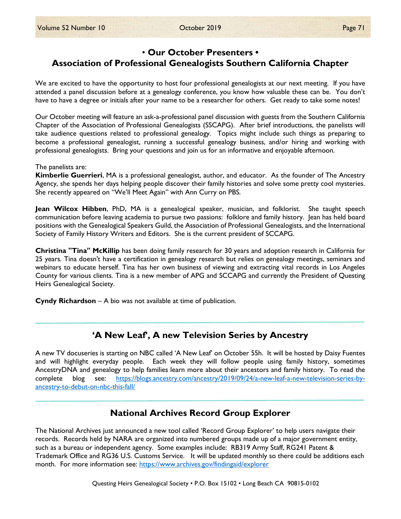## • Our October Presenters • Association of Professional Genealogists Southern California Chapter

We are excited to have the opportunity to host four professional genealogists at our next meeting. If you have attended a panel discussion before at a genealogy conference, you know how valuable these can be. You don't have to have a degree or initials after your name to be a researcher for others. Get ready to take some notes!

Our October meeting will feature an ask-a-professional panel discussion with guests from the Southern California Chapter of the Association of Professional Genealogists (SSCAPG). After brief introductions, the panelists will take audience questions related to professional genealogy. Topics might include such things as preparing to become a professional genealogist, running a successful genealogy business, and/or hiring and working with professional genealogists. Bring your questions and join us for an informative and enjoyable afternoon.

The panelists are:

Kimberlie Guerrieri, MA is a professional genealogist, author, and educator. As the founder of The Ancestry Agency, she spends her days helping people discover their family histories and solve some pretty cool mysteries. She recently appeared on "We'll Meet Again" with Ann Curry on PBS.

**Jean Wilcox Hibben**, PhD, MA is a genealogical speaker, musician, and folklorist. She taught speech communication before leaving academia to pursue two passions: folklore and family history. Jean has held board positions with the Genealogical Speakers Guild, the Association of Professional Genealogists, and the International Society of Family History Writers and Editors. She is the current president of SCCAPG.

Christina "Tina" McKillip has been doing family research for 30 years and adoption research in California for 25 years. Tina doesn't have a certification in genealogy research but relies on genealogy meetings, seminars and webinars to educate herself. Tina has her own business of viewing and extracting vital records in Los Angeles County for various clients. Tina is a new member of APG and SCCAPG and currently the President of Questing Heirs Genealogical Society.

**Cyndy Richardson** – A bio was not available at time of publication.

## 'A New Leaf', A new Television Series by Ancestry

A new TV docuseries is starting on NBC called 'A New Leaf' on October 55h. It will be hosted by Daisy Fuentes and will highlight everyday people. Each week they will follow people using family history, sometimes AncestryDNA and genealogy to help families learn more about their ancestors and family history. To read the complete blog see: https://blogs.ancestry.com/ancestry/2019/09/24/a-new-leaf-a-new-television-series-byancestry-to-debut-on-nbc-this-fall/

## National Archives Record Group Explorer

The National Archives just announced a new tool called 'Record Group Explorer' to help users navigate their records. Records held by NARA are organized into numbered groups made up of a major government entity, such as a bureau or independent agency. Some examples include: RB319 Army Staff, RG241 Patent & Trademark Office and RG36 U.S. Customs Service. It will be updated monthly so there could be additions each month. For more information see: https://www.archives.gov/findingaid/explorer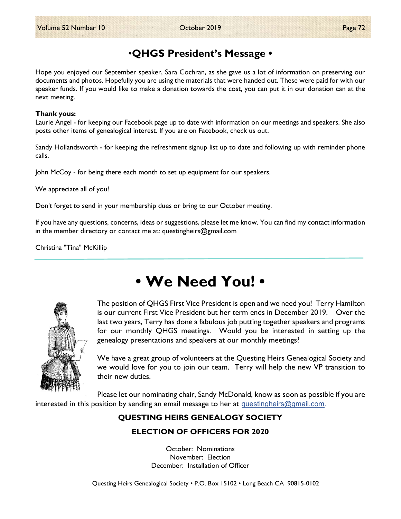# •QHGS President's Message •

Hope you enjoyed our September speaker, Sara Cochran, as she gave us a lot of information on preserving our documents and photos. Hopefully you are using the materials that were handed out. These were paid for with our speaker funds. If you would like to make a donation towards the cost, you can put it in our donation can at the next meeting.

#### Thank yous:

Laurie Angel - for keeping our Facebook page up to date with information on our meetings and speakers. She also posts other items of genealogical interest. If you are on Facebook, check us out.

Sandy Hollandsworth - for keeping the refreshment signup list up to date and following up with reminder phone calls.

John McCoy - for being there each month to set up equipment for our speakers.

We appreciate all of you!

Don't forget to send in your membership dues or bring to our October meeting.

If you have any questions, concerns, ideas or suggestions, please let me know. You can find my contact information in the member directory or contact me at: questingheirs@gmail.com

Christina "Tina" McKillip



• We Need You! •

The position of QHGS First Vice President is open and we need you! Terry Hamilton is our current First Vice President but her term ends in December 2019. Over the last two years, Terry has done a fabulous job putting together speakers and programs for our monthly QHGS meetings. Would you be interested in setting up the genealogy presentations and speakers at our monthly meetings?

We have a great group of volunteers at the Questing Heirs Genealogical Society and we would love for you to join our team. Terry will help the new VP transition to their new duties.

Please let our nominating chair, Sandy McDonald, know as soon as possible if you are interested in this position by sending an email message to her at questingheirs@gmail.com.

## QUESTING HEIRS GENEALOGY SOCIETY

## ELECTION OF OFFICERS FOR 2020

October: Nominations November: Election December: Installation of Officer

Questing Heirs Genealogical Society • P.O. Box 15102 • Long Beach CA 90815-0102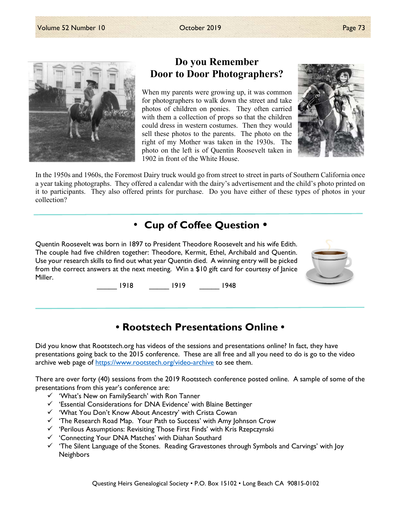

# Do you Remember Door to Door Photographers?

When my parents were growing up, it was common for photographers to walk down the street and take photos of children on ponies. They often carried with them a collection of props so that the children could dress in western costumes. Then they would sell these photos to the parents. The photo on the right of my Mother was taken in the 1930s. The photo on the left is of Quentin Roosevelt taken in 1902 in front of the White House.



In the 1950s and 1960s, the Foremost Dairy truck would go from street to street in parts of Southern California once a year taking photographs. They offered a calendar with the dairy's advertisement and the child's photo printed on it to participants. They also offered prints for purchase. Do you have either of these types of photos in your collection?

# • Cup of Coffee Question •

Quentin Roosevelt was born in 1897 to President Theodore Roosevelt and his wife Edith. The couple had five children together: Theodore, Kermit, Ethel, Archibald and Quentin. Use your research skills to find out what year Quentin died. A winning entry will be picked from the correct answers at the next meeting. Win a \$10 gift card for courtesy of Janice Miller.



\_\_\_\_\_ 1918 \_\_\_\_\_ 1919 \_\_\_\_\_ 1948

# • Rootstech Presentations Online •

Did you know that Rootstech.org has videos of the sessions and presentations online? In fact, they have presentations going back to the 2015 conference. These are all free and all you need to do is go to the video archive web page of https://www.rootstech.org/video-archive to see them.

There are over forty (40) sessions from the 2019 Rootstech conference posted online. A sample of some of the presentations from this year's conference are:

- $\checkmark$  'What's New on FamilySearch' with Ron Tanner
- $\checkmark$  'Essential Considerations for DNA Evidence' with Blaine Bettinger
- 'What You Don't Know About Ancestry' with Crista Cowan
- $\checkmark$  'The Research Road Map. Your Path to Success' with Amy Johnson Crow
- $\checkmark$  'Perilous Assumptions: Revisiting Those First Finds' with Kris Rzepczynski
- $\checkmark$  'Connecting Your DNA Matches' with Diahan Southard
- $\checkmark$  'The Silent Language of the Stones. Reading Gravestones through Symbols and Carvings' with Joy **Neighbors**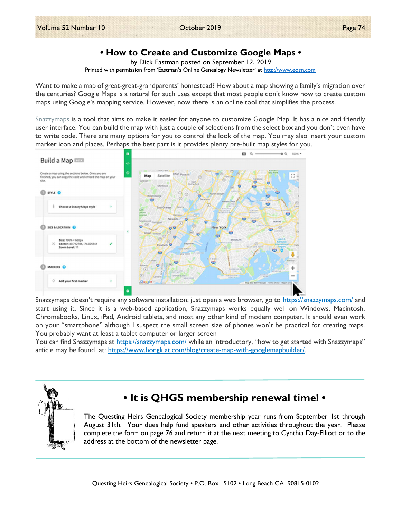## • How to Create and Customize Google Maps •

by Dick Eastman posted on September 12, 2019

Printed with permission from 'Eastman's Online Genealogy Newsletter' at http://www.eogn.com

Want to make a map of great-great-grandparents' homestead? How about a map showing a family's migration over the centuries? Google Maps is a natural for such uses except that most people don't know how to create custom maps using Google's mapping service. However, now there is an online tool that simplifies the process.

Snazzymaps is a tool that aims to make it easier for anyone to customize Google Map. It has a nice and friendly user interface. You can build the map with just a couple of selections from the select box and you don't even have to write code. There are many options for you to control the look of the map. You may also insert your custom marker icon and places. Perhaps the best part is it provides plenty pre-built map styles for you.



Snazzymaps doesn't require any software installation; just open a web browser, go to https://snazzymaps.com/ and start using it. Since it is a web-based application, Snazzymaps works equally well on Windows, Macintosh, Chromebooks, Linux, iPad, Android tablets, and most any other kind of modern computer. It should even work on your "smartphone" although I suspect the small screen size of phones won't be practical for creating maps. You probably want at least a tablet computer or larger screen

You can find Snazzymaps at https://snazzymaps.com/ while an introductory, "how to get started with Snazzymaps" article may be found at: https://www.hongkiat.com/blog/create-map-with-googlemapbuilder/.



# • It is QHGS membership renewal time! •

The Questing Heirs Genealogical Society membership year runs from September 1st through August 31th. Your dues help fund speakers and other activities throughout the year. Please complete the form on page 76 and return it at the next meeting to Cynthia Day-Elliott or to the address at the bottom of the newsletter page.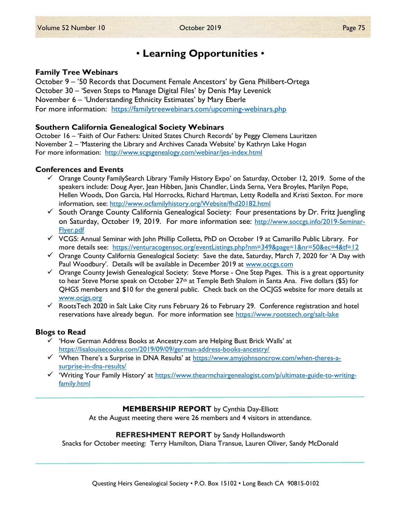# • Learning Opportunities •

#### Family Tree Webinars

October 9 – '50 Records that Document Female Ancestors' by Gena Philibert-Ortega October 30 – 'Seven Steps to Manage Digital Files' by Denis May Levenick November 6 – 'Understanding Ethnicity Estimates' by Mary Eberle For more information: https://familytreewebinars.com/upcoming-webinars.php

## Southern California Genealogical Society Webinars

October 16 – 'Faith of Our Fathers: United States Church Records' by Peggy Clemens Lauritzen November 2 – 'Mastering the Library and Archives Canada Website' by Kathryn Lake Hogan For more information: http://www.scgsgenealogy.com/webinar/jes-index.html

## Conferences and Events

- $\checkmark$  Orange County FamilySearch Library 'Family History Expo' on Saturday, October 12, 2019. Some of the speakers include: Doug Ayer, Jean Hibben, Janis Chandler, Linda Serna, Vera Broyles, Marilyn Pope, Hellen Woods, Don Garcia, Hal Horrocks, Richard Hartman, Letty Rodella and Kristi Sexton. For more information, see: http://www.ocfamilyhistory.org/Website/fhd20182.html
- $\checkmark$  South Orange County California Genealogical Society: Four presentations by Dr. Fritz Juengling on Saturday, October 19, 2019. For more information see: http://www.soccgs.info/2019-Seminar-Flyer.pdf
- VCGS: Annual Seminar with John Phillip Colletta, PhD on October 19 at Camarillo Public Library. For more details see: https://venturacogensoc.org/eventListings.php?nm=349&page=1&nr=50&ec=4&tf=12
- Orange County California Genealogical Society: Save the date, Saturday, March 7, 2020 for 'A Day with Paul Woodbury'. Details will be available in December 2019 at www.occgs.com
- $\checkmark$  Orange County Jewish Genealogical Society: Steve Morse One Step Pages. This is a great opportunity to hear Steve Morse speak on October 27th at Temple Beth Shalom in Santa Ana. Five dollars (\$5) for QHGS members and \$10 for the general public. Check back on the OCJGS website for more details at www.ocjgs.org
- $\checkmark$  RootsTech 2020 in Salt Lake City runs February 26 to February 29. Conference registration and hotel reservations have already begun. For more information see https://www.rootstech.org/salt-lake

## Blogs to Read

- $\checkmark$  'How German Address Books at Ancestry.com are Helping Bust Brick Walls' at https://lisalouisecooke.com/2019/09/09/german-address-books-ancestry/
- $\checkmark$  'When There's a Surprise in DNA Results' at https://www.amyjohnsoncrow.com/when-theres-asurprise-in-dna-results/
- 'Writing Your Family History' at https://www.thearmchairgenealogist.com/p/ultimate-guide-to-writingfamily.html

#### MEMBERSHIP REPORT by Cynthia Day-Elliott

At the August meeting there were 26 members and 4 visitors in attendance.

#### REFRESHMENT REPORT by Sandy Hollandsworth

Snacks for October meeting: Terry Hamilton, Diana Transue, Lauren Oliver, Sandy McDonald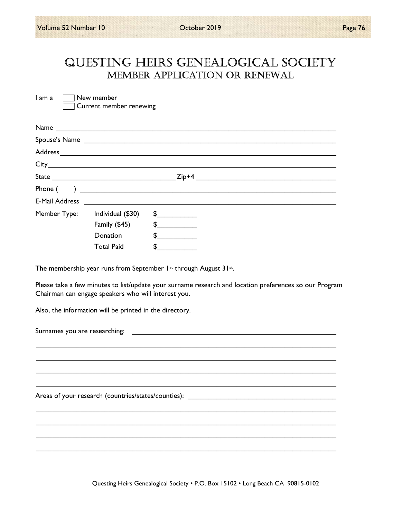# QUESTING HEIRS GENEALOGICAL SOCIETY MEMbER AppLICATION OR RENEwAL

 $I$  am a  $\Box$  New member Current member renewing

| Name                  |                   |                               |
|-----------------------|-------------------|-------------------------------|
|                       | Spouse's Name     |                               |
|                       |                   |                               |
|                       |                   |                               |
|                       |                   | $Zip+4$                       |
| Phone (               |                   |                               |
| <b>E-Mail Address</b> |                   |                               |
| Member Type:          | Individual (\$30) | $\frac{1}{2}$                 |
|                       | Family (\$45)     | $\frac{1}{\sqrt{2}}$          |
|                       | Donation          | \$<br><u> 1989 - Jan Sara</u> |
|                       | <b>Total Paid</b> | $\sim$                        |

The membership year runs from September 1st through August 31st.

Please take a few minutes to list/update your surname research and location preferences so our Program Chairman can engage speakers who will interest you.

 \_\_\_\_\_\_\_\_\_\_\_\_\_\_\_\_\_\_\_\_\_\_\_\_\_\_\_\_\_\_\_\_\_\_\_\_\_\_\_\_\_\_\_\_\_\_\_\_\_\_\_\_\_\_\_\_\_\_\_\_\_\_\_\_\_\_\_\_\_\_\_\_\_\_\_ \_\_\_\_\_\_\_\_\_\_\_\_\_\_\_\_\_\_\_\_\_\_\_\_\_\_\_\_\_\_\_\_\_\_\_\_\_\_\_\_\_\_\_\_\_\_\_\_\_\_\_\_\_\_\_\_\_\_\_\_\_\_\_\_\_\_\_\_\_\_\_\_\_\_\_ \_\_\_\_\_\_\_\_\_\_\_\_\_\_\_\_\_\_\_\_\_\_\_\_\_\_\_\_\_\_\_\_\_\_\_\_\_\_\_\_\_\_\_\_\_\_\_\_\_\_\_\_\_\_\_\_\_\_\_\_\_\_\_\_\_\_\_\_\_\_\_\_\_\_\_ \_\_\_\_\_\_\_\_\_\_\_\_\_\_\_\_\_\_\_\_\_\_\_\_\_\_\_\_\_\_\_\_\_\_\_\_\_\_\_\_\_\_\_\_\_\_\_\_\_\_\_\_\_\_\_\_\_\_\_\_\_\_\_\_\_\_\_\_\_\_\_\_\_\_\_

 \_\_\_\_\_\_\_\_\_\_\_\_\_\_\_\_\_\_\_\_\_\_\_\_\_\_\_\_\_\_\_\_\_\_\_\_\_\_\_\_\_\_\_\_\_\_\_\_\_\_\_\_\_\_\_\_\_\_\_\_\_\_\_\_\_\_\_\_\_\_\_\_\_\_\_ \_\_\_\_\_\_\_\_\_\_\_\_\_\_\_\_\_\_\_\_\_\_\_\_\_\_\_\_\_\_\_\_\_\_\_\_\_\_\_\_\_\_\_\_\_\_\_\_\_\_\_\_\_\_\_\_\_\_\_\_\_\_\_\_\_\_\_\_\_\_\_\_\_\_\_ \_\_\_\_\_\_\_\_\_\_\_\_\_\_\_\_\_\_\_\_\_\_\_\_\_\_\_\_\_\_\_\_\_\_\_\_\_\_\_\_\_\_\_\_\_\_\_\_\_\_\_\_\_\_\_\_\_\_\_\_\_\_\_\_\_\_\_\_\_\_\_\_\_\_\_ \_\_\_\_\_\_\_\_\_\_\_\_\_\_\_\_\_\_\_\_\_\_\_\_\_\_\_\_\_\_\_\_\_\_\_\_\_\_\_\_\_\_\_\_\_\_\_\_\_\_\_\_\_\_\_\_\_\_\_\_\_\_\_\_\_\_\_\_\_\_\_\_\_\_\_

Also, the information will be printed in the directory.

Surnames you are researching:

Areas of your research (countries/states/counties):

Questing Heirs Genealogical Society • P.O. Box 15102 • Long Beach CA 90815-0102